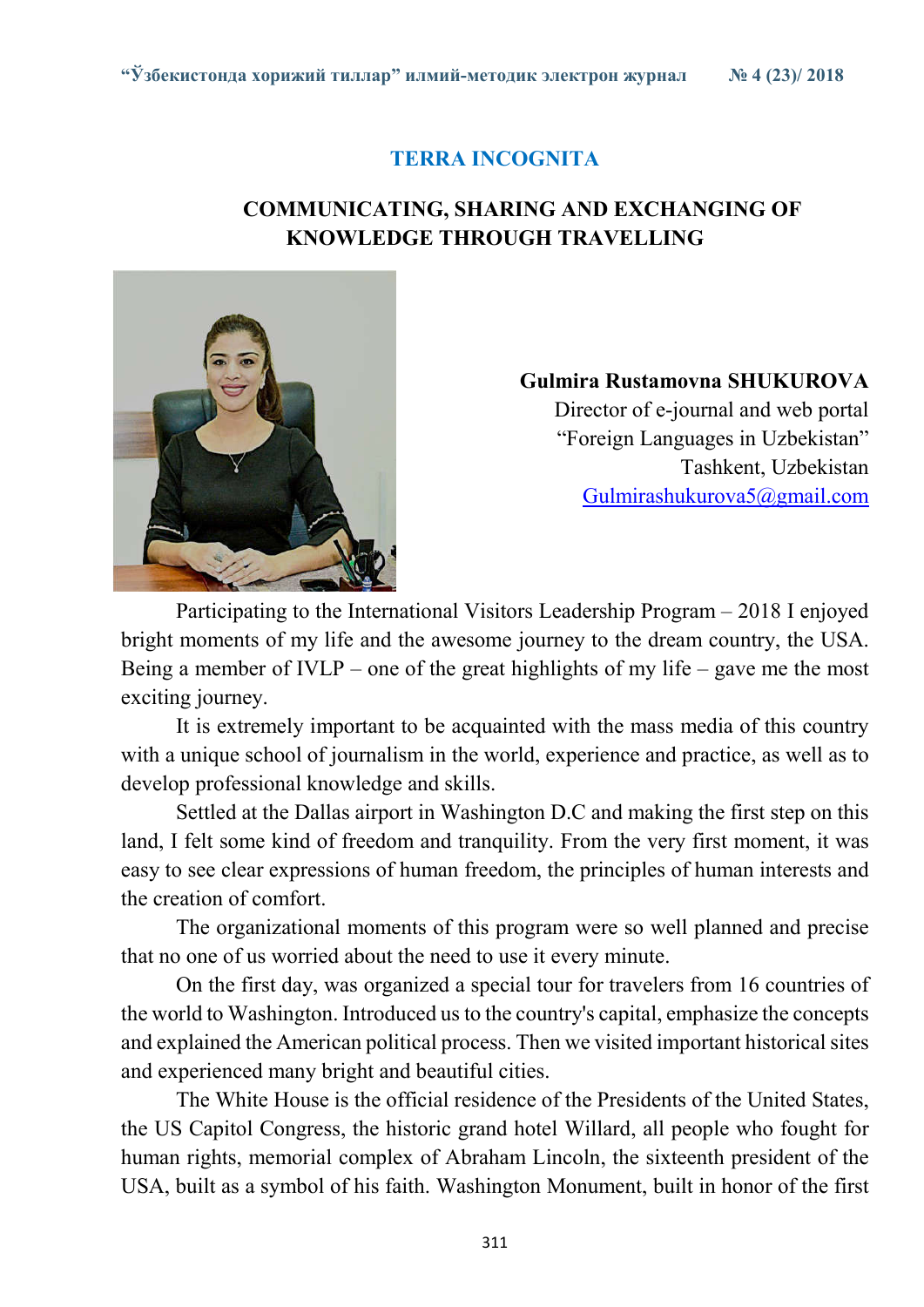## TERRA INCOGNITA

# COMMUNICATING, SHARING AND EXCHANGING OF KNOWLEDGE THROUGH TRAVELLING



## Gulmira Rustamovna SHUKUROVA

Director of e-journal and web portal "Foreign Languages in Uzbekistan" Tashkent, Uzbekistan Gulmirashukurova5@gmail.com

Participating to the International Visitors Leadership Program – 2018 I enjoyed bright moments of my life and the awesome journey to the dream country, the USA. Being a member of IVLP – one of the great highlights of my life – gave me the most exciting journey.

It is extremely important to be acquainted with the mass media of this country with a unique school of journalism in the world, experience and practice, as well as to develop professional knowledge and skills.

Settled at the Dallas airport in Washington D.C and making the first step on this land, I felt some kind of freedom and tranquility. From the very first moment, it was easy to see clear expressions of human freedom, the principles of human interests and the creation of comfort.

The organizational moments of this program were so well planned and precise that no one of us worried about the need to use it every minute.

On the first day, was organized a special tour for travelers from 16 countries of the world to Washington. Introduced us to the country's capital, emphasize the concepts and explained the American political process. Then we visited important historical sites and experienced many bright and beautiful cities.

The White House is the official residence of the Presidents of the United States, the US Capitol Congress, the historic grand hotel Willard, all people who fought for human rights, memorial complex of Abraham Lincoln, the sixteenth president of the USA, built as a symbol of his faith. Washington Monument, built in honor of the first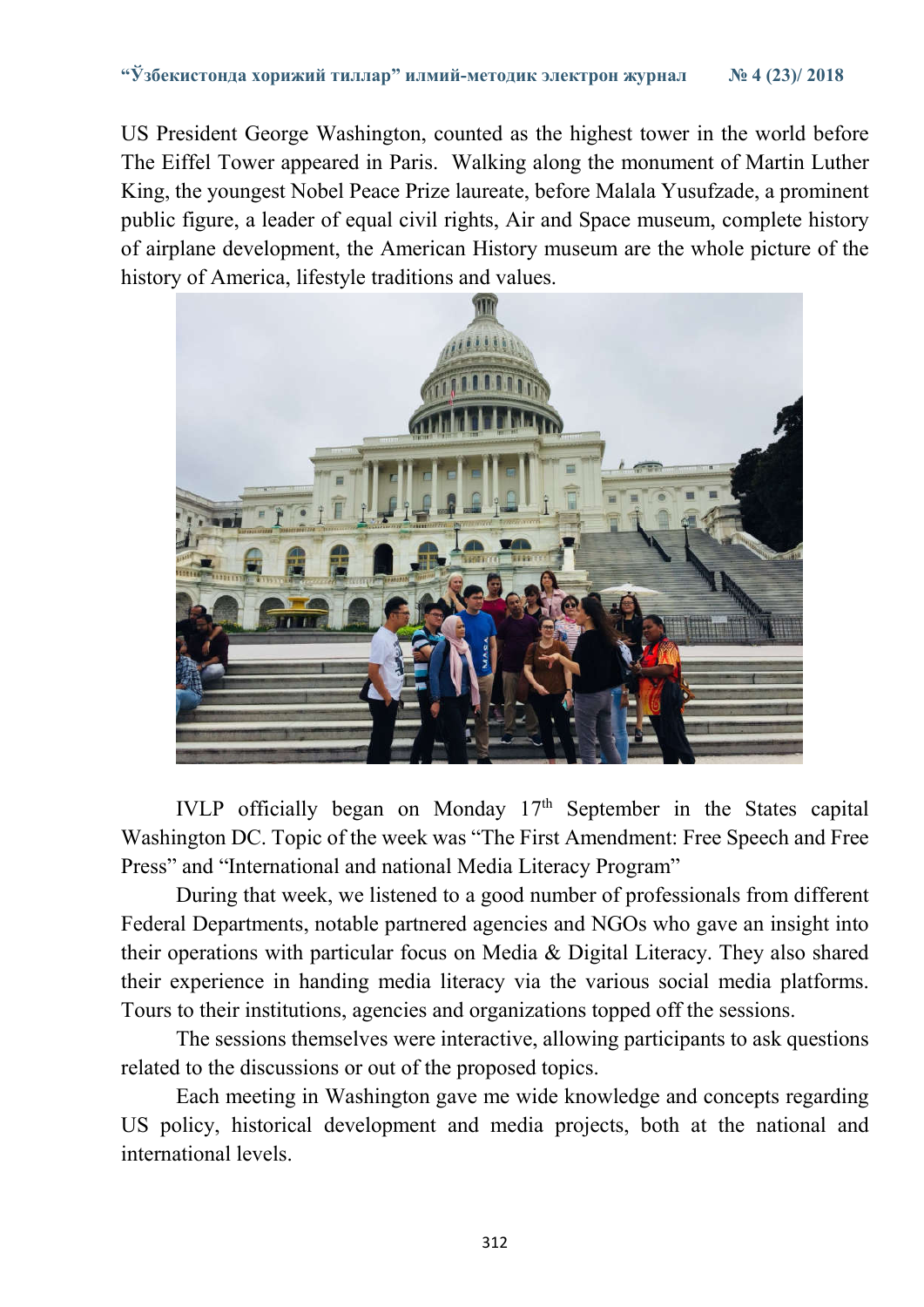US President George Washington, counted as the highest tower in the world before The Eiffel Tower appeared in Paris. Walking along the monument of Martin Luther King, the youngest Nobel Peace Prize laureate, before Malala Yusufzade, a prominent public figure, a leader of equal civil rights, Air and Space museum, complete history of airplane development, the American History museum are the whole picture of the history of America, lifestyle traditions and values.



IVLP officially began on Monday  $17<sup>th</sup>$  September in the States capital Washington DC. Topic of the week was "The First Amendment: Free Speech and Free Press" and "International and national Media Literacy Program"

During that week, we listened to a good number of professionals from different Federal Departments, notable partnered agencies and NGOs who gave an insight into their operations with particular focus on Media & Digital Literacy. They also shared their experience in handing media literacy via the various social media platforms. Tours to their institutions, agencies and organizations topped off the sessions.

The sessions themselves were interactive, allowing participants to ask questions related to the discussions or out of the proposed topics.

Each meeting in Washington gave me wide knowledge and concepts regarding US policy, historical development and media projects, both at the national and international levels.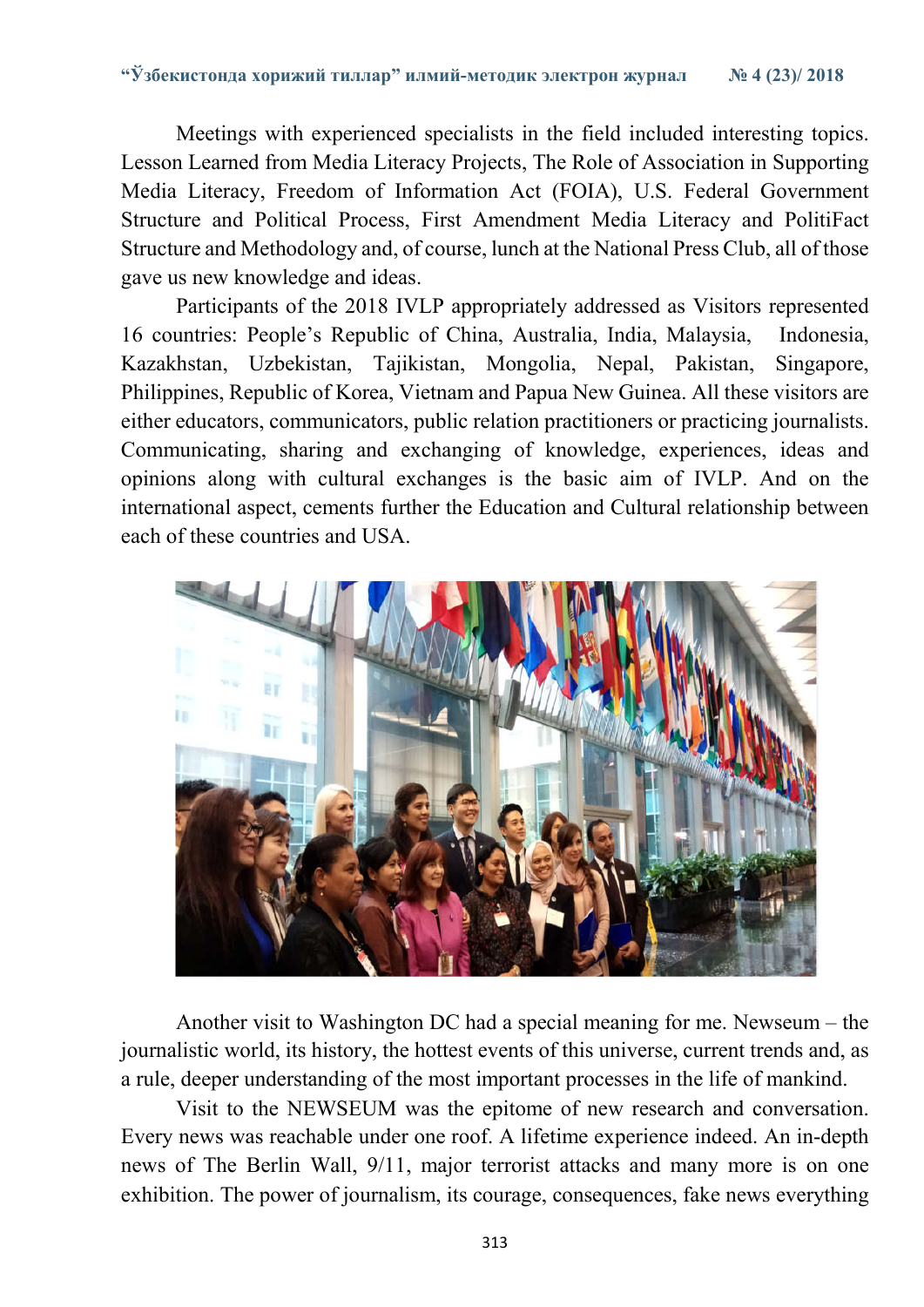Meetings with experienced specialists in the field included interesting topics. Lesson Learned from Media Literacy Projects, The Role of Association in Supporting Media Literacy, Freedom of Information Act (FOIA), U.S. Federal Government Structure and Political Process, First Amendment Media Literacy and PolitiFact Structure and Methodology and, of course, lunch at the National Press Club, all of those gave us new knowledge and ideas.

Participants of the 2018 IVLP appropriately addressed as Visitors represented 16 countries: People's Republic of China, Australia, India, Malaysia, Indonesia, Kazakhstan, Uzbekistan, Tajikistan, Mongolia, Nepal, Pakistan, Singapore, Philippines, Republic of Korea, Vietnam and Papua New Guinea. All these visitors are either educators, communicators, public relation practitioners or practicing journalists. Communicating, sharing and exchanging of knowledge, experiences, ideas and opinions along with cultural exchanges is the basic aim of IVLP. And on the international aspect, cements further the Education and Cultural relationship between each of these countries and USA.



Another visit to Washington DC had a special meaning for me. Newseum – the journalistic world, its history, the hottest events of this universe, current trends and, as a rule, deeper understanding of the most important processes in the life of mankind.

Visit to the NEWSEUM was the epitome of new research and conversation. Every news was reachable under one roof. A lifetime experience indeed. An in-depth news of The Berlin Wall, 9/11, major terrorist attacks and many more is on one exhibition. The power of journalism, its courage, consequences, fake news everything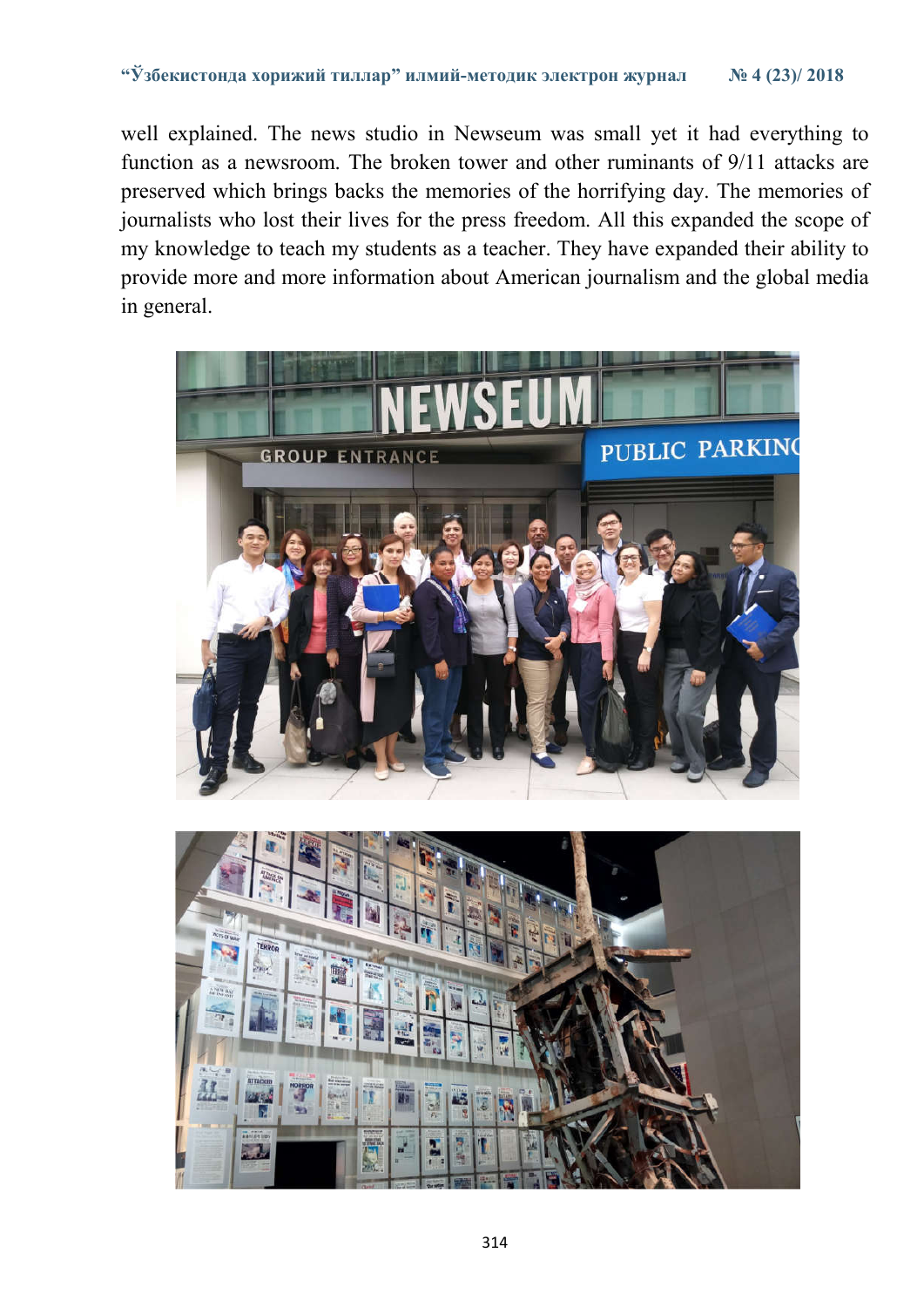well explained. The news studio in Newseum was small yet it had everything to function as a newsroom. The broken tower and other ruminants of 9/11 attacks are preserved which brings backs the memories of the horrifying day. The memories of journalists who lost their lives for the press freedom. All this expanded the scope of my knowledge to teach my students as a teacher. They have expanded their ability to provide more and more information about American journalism and the global media in general.

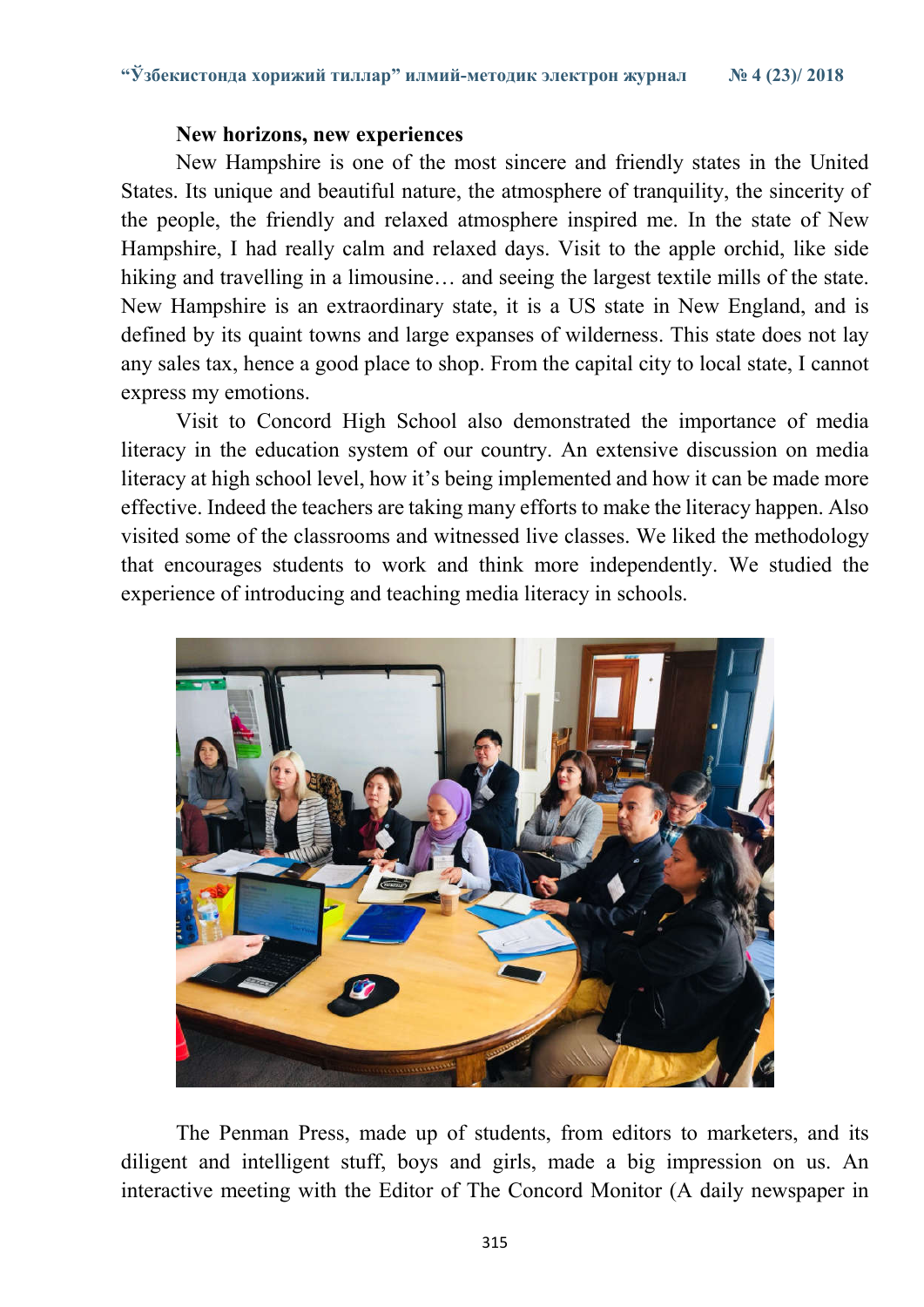#### New horizons, new experiences

New Hampshire is one of the most sincere and friendly states in the United States. Its unique and beautiful nature, the atmosphere of tranquility, the sincerity of the people, the friendly and relaxed atmosphere inspired me. In the state of New Hampshire, I had really calm and relaxed days. Visit to the apple orchid, like side hiking and travelling in a limousine... and seeing the largest textile mills of the state. New Hampshire is an extraordinary state, it is a US state in New England, and is defined by its quaint towns and large expanses of wilderness. This state does not lay any sales tax, hence a good place to shop. From the capital city to local state, I cannot express my emotions.

Visit to Concord High School also demonstrated the importance of media literacy in the education system of our country. Аn extensive discussion on media literacy at high school level, how it's being implemented and how it can be made more effective. Indeed the teachers are taking many efforts to make the literacy happen. Also visited some of the classrooms and witnessed live classes. We liked the methodology that encourages students to work and think more independently. We studied the experience of introducing and teaching media literacy in schools.



The Penman Press, made up of students, from editors to marketers, and its diligent and intelligent stuff, boys and girls, made a big impression on us. An interactive meeting with the Editor of The Concord Monitor (A daily newspaper in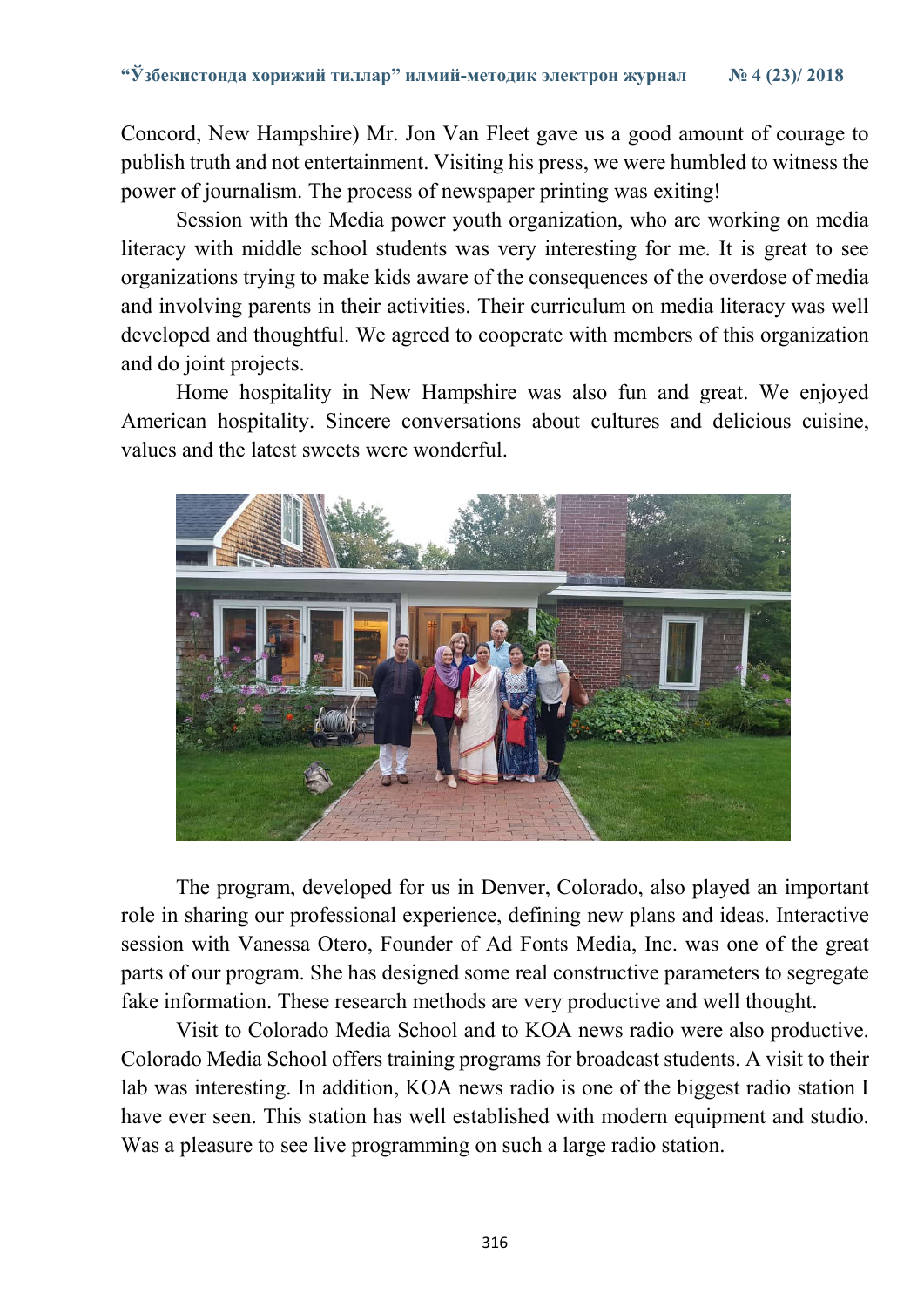Concord, New Hampshire) Mr. Jon Van Fleet gave us a good amount of courage to publish truth and not entertainment. Visiting his press, we were humbled to witness the power of journalism. The process of newspaper printing was exiting!

Session with the Media power youth organization, who are working on media literacy with middle school students was very interesting for me. It is great to see organizations trying to make kids aware of the consequences of the overdose of media and involving parents in their activities. Their curriculum on media literacy was well developed and thoughtful. We agreed to cooperate with members of this organization and do joint projects.

Home hospitality in New Hampshire was also fun and great. We enjoyed American hospitality. Sincere conversations about cultures and delicious cuisine, values and the latest sweets were wonderful.



The program, developed for us in Denver, Colorado, also played an important role in sharing our professional experience, defining new plans and ideas. Interactive session with Vanessa Otero, Founder of Ad Fonts Media, Inc. was one of the great parts of our program. She has designed some real constructive parameters to segregate fake information. These research methods are very productive and well thought.

Visit to Colorado Media School and to KOA news radio were also productive. Colorado Media School offers training programs for broadcast students. A visit to their lab was interesting. In addition, KOA news radio is one of the biggest radio station I have ever seen. This station has well established with modern equipment and studio. Was a pleasure to see live programming on such a large radio station.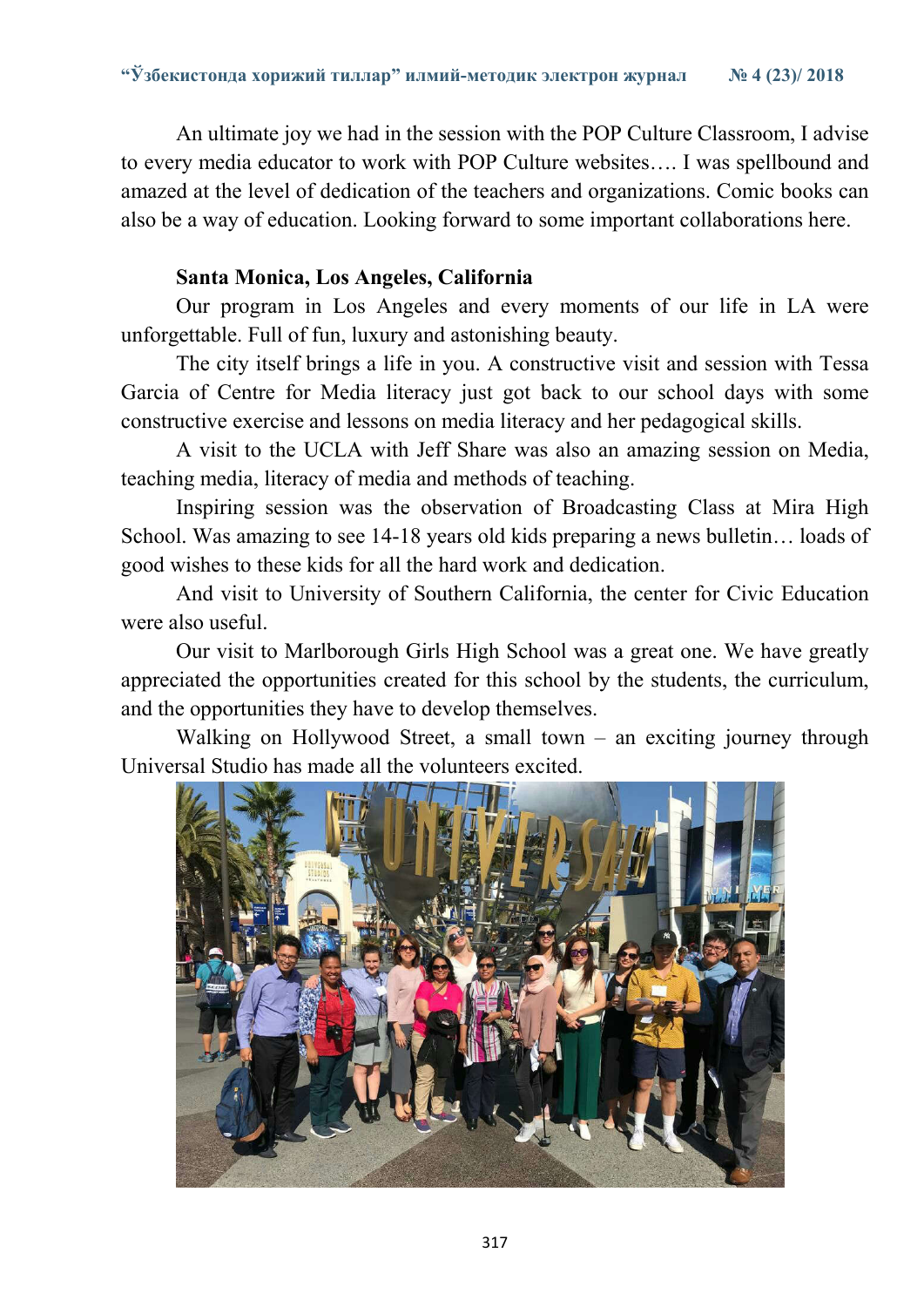An ultimate joy we had in the session with the POP Culture Classroom, I advise to every media educator to work with POP Culture websites…. I was spellbound and amazed at the level of dedication of the teachers and organizations. Comic books can also be a way of education. Looking forward to some important collaborations here.

## Santa Monica, Los Angeles, California

Our program in Los Angeles and every moments of our life in LA were unforgettable. Full of fun, luxury and astonishing beauty.

The city itself brings a life in you. A constructive visit and session with Tessa Garcia of Centre for Media literacy just got back to our school days with some constructive exercise and lessons on media literacy and her pedagogical skills.

A visit to the UCLA with Jeff Share was also an amazing session on Media, teaching media, literacy of media and methods of teaching.

Inspiring session was the observation of Broadcasting Class at Mira High School. Was amazing to see 14-18 years old kids preparing a news bulletin… loads of good wishes to these kids for all the hard work and dedication.

And visit to University of Southern California, the center for Civic Education were also useful.

Our visit to Marlborough Girls High School was a great one. We have greatly appreciated the opportunities created for this school by the students, the curriculum, and the opportunities they have to develop themselves.

Walking on Hollywood Street, a small town – an exciting journey through Universal Studio has made all the volunteers excited.